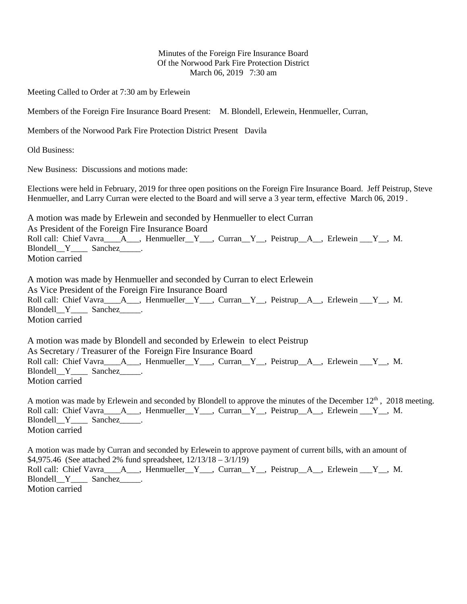## Minutes of the Foreign Fire Insurance Board Of the Norwood Park Fire Protection District March 06, 2019 7:30 am

Meeting Called to Order at 7:30 am by Erlewein

Members of the Foreign Fire Insurance Board Present: M. Blondell, Erlewein, Henmueller, Curran,

Members of the Norwood Park Fire Protection District Present Davila

Old Business:

New Business: Discussions and motions made:

Elections were held in February, 2019 for three open positions on the Foreign Fire Insurance Board. Jeff Peistrup, Steve Henmueller, and Larry Curran were elected to the Board and will serve a 3 year term, effective March 06, 2019 .

A motion was made by Erlewein and seconded by Henmueller to elect Curran As President of the Foreign Fire Insurance Board Roll call: Chief Vavra<sub>\_\_\_\_</sub>A\_\_\_, Henmueller\_\_Y<sub>\_\_\_</sub>, Curran\_Y<sub>\_\_</sub>, Peistrup\_\_A\_\_, Erlewein \_\_\_Y\_\_, M. Blondell\_Y\_\_\_\_ Sanchez\_\_\_\_\_. Motion carried

A motion was made by Henmueller and seconded by Curran to elect Erlewein As Vice President of the Foreign Fire Insurance Board Roll call: Chief Vavra A<sub>\_\_\_</sub>, Henmueller<sub>\_\_</sub>Y<sub>\_\_\_</sub>, Curran<sub>\_\_</sub>Y<sub>\_\_</sub>, Peistrup<sub>\_\_</sub>A<sub>\_\_</sub>, Erlewein \_\_\_Y<sub>\_\_</sub>, M. Blondell\_Y\_\_\_\_ Sanchez\_\_\_\_. Motion carried

A motion was made by Blondell and seconded by Erlewein to elect Peistrup As Secretary / Treasurer of the Foreign Fire Insurance Board Roll call: Chief Vavra  $A_{\text{max}}$ , Henmueller Y and Curran Y are Peistrup A and Erlewein  $Y_{\text{max}}$ , M. Blondell\_Y\_\_\_\_ Sanchez\_\_\_\_\_. Motion carried

A motion was made by Erlewein and seconded by Blondell to approve the minutes of the December  $12<sup>th</sup>$ , 2018 meeting. Roll call: Chief Vavra A<sub>\_\_\_</sub>, Henmueller<sub>\_\_</sub>Y<sub>\_\_\_</sub>, Curran<sub>\_\_</sub>Y<sub>\_\_</sub>, Peistrup<sub>\_\_</sub>A<sub>\_\_</sub>, Erlewein \_\_\_Y<sub>\_\_</sub>, M. Blondell Y Sanchez . Motion carried

A motion was made by Curran and seconded by Erlewein to approve payment of current bills, with an amount of \$4,975.46 (See attached 2% fund spreadsheet, 12/13/18 – 3/1/19) Roll call: Chief Vavra\_\_\_\_A\_\_\_, Henmueller\_\_Y\_\_\_, Curran\_Y\_\_, Peistrup\_\_A\_\_, Erlewein \_\_Y\_\_, M. Blondell Y Sanchez . Motion carried